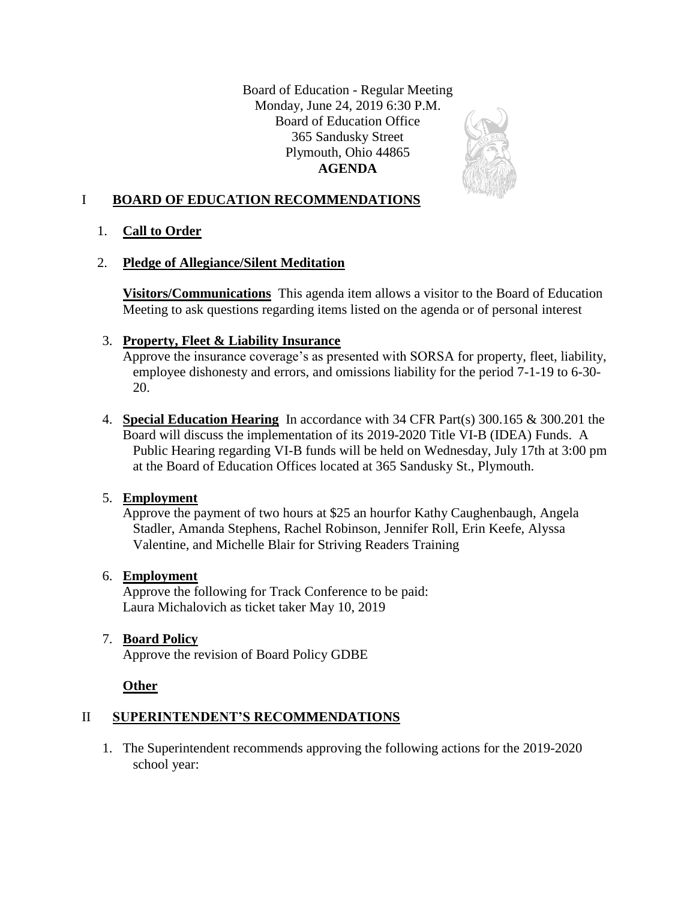Board of Education - Regular Meeting Monday, June 24, 2019 6:30 P.M. Board of Education Office 365 Sandusky Street Plymouth, Ohio 44865 **AGENDA**



## I **BOARD OF EDUCATION RECOMMENDATIONS**

1. **Call to Order**

## 2. **Pledge of Allegiance/Silent Meditation**

**Visitors/Communications** This agenda item allows a visitor to the Board of Education Meeting to ask questions regarding items listed on the agenda or of personal interest

# 3. **Property, Fleet & Liability Insurance**

Approve the insurance coverage's as presented with SORSA for property, fleet, liability, employee dishonesty and errors, and omissions liability for the period 7-1-19 to 6-30- 20.

4. **Special Education Hearing** In accordance with 34 CFR Part(s) 300.165 & 300.201 the Board will discuss the implementation of its 2019-2020 Title VI-B (IDEA) Funds. A Public Hearing regarding VI-B funds will be held on Wednesday, July 17th at 3:00 pm at the Board of Education Offices located at 365 Sandusky St., Plymouth.

# 5. **Employment**

Approve the payment of two hours at \$25 an hourfor Kathy Caughenbaugh, Angela Stadler, Amanda Stephens, Rachel Robinson, Jennifer Roll, Erin Keefe, Alyssa Valentine, and Michelle Blair for Striving Readers Training

## 6. **Employment**

Approve the following for Track Conference to be paid: Laura Michalovich as ticket taker May 10, 2019

# 7. **Board Policy**

Approve the revision of Board Policy GDBE

## **Other**

# II **SUPERINTENDENT'S RECOMMENDATIONS**

1. The Superintendent recommends approving the following actions for the 2019-2020 school year: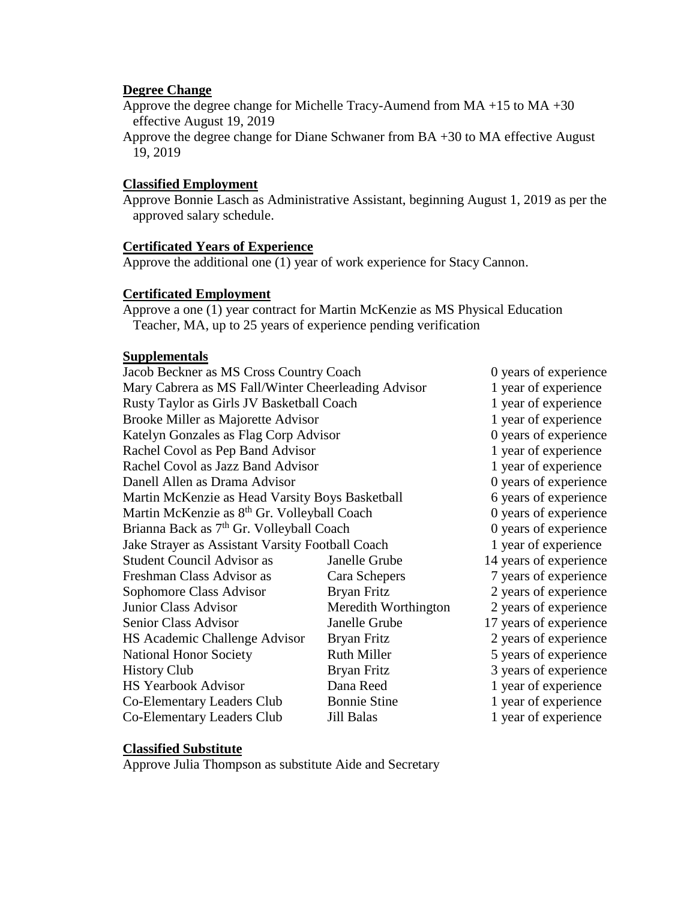### **Degree Change**

Approve the degree change for Michelle Tracy-Aumend from MA +15 to MA +30 effective August 19, 2019

Approve the degree change for Diane Schwaner from BA +30 to MA effective August 19, 2019

#### **Classified Employment**

Approve Bonnie Lasch as Administrative Assistant, beginning August 1, 2019 as per the approved salary schedule.

#### **Certificated Years of Experience**

Approve the additional one (1) year of work experience for Stacy Cannon.

#### **Certificated Employment**

Approve a one (1) year contract for Martin McKenzie as MS Physical Education Teacher, MA, up to 25 years of experience pending verification

### **Supplementals**

| Jacob Beckner as MS Cross Country Coach                 |                      | 0 years of experience  |
|---------------------------------------------------------|----------------------|------------------------|
| Mary Cabrera as MS Fall/Winter Cheerleading Advisor     |                      | 1 year of experience   |
| Rusty Taylor as Girls JV Basketball Coach               |                      | 1 year of experience   |
| Brooke Miller as Majorette Advisor                      |                      | 1 year of experience   |
| Katelyn Gonzales as Flag Corp Advisor                   |                      | 0 years of experience  |
| Rachel Covol as Pep Band Advisor                        |                      | 1 year of experience   |
| Rachel Covol as Jazz Band Advisor                       |                      | 1 year of experience   |
| Danell Allen as Drama Advisor                           |                      | 0 years of experience  |
| Martin McKenzie as Head Varsity Boys Basketball         |                      | 6 years of experience  |
| Martin McKenzie as 8 <sup>th</sup> Gr. Volleyball Coach |                      | 0 years of experience  |
| Brianna Back as 7 <sup>th</sup> Gr. Volleyball Coach    |                      | 0 years of experience  |
| Jake Strayer as Assistant Varsity Football Coach        |                      | 1 year of experience   |
| <b>Student Council Advisor as</b>                       | Janelle Grube        | 14 years of experience |
| Freshman Class Advisor as                               | Cara Schepers        | 7 years of experience  |
| Sophomore Class Advisor                                 | Bryan Fritz          | 2 years of experience  |
| <b>Junior Class Advisor</b>                             | Meredith Worthington | 2 years of experience  |
| Senior Class Advisor                                    | Janelle Grube        | 17 years of experience |
| HS Academic Challenge Advisor                           | Bryan Fritz          | 2 years of experience  |
| <b>National Honor Society</b>                           | <b>Ruth Miller</b>   | 5 years of experience  |
| <b>History Club</b>                                     | Bryan Fritz          | 3 years of experience  |
| <b>HS Yearbook Advisor</b>                              | Dana Reed            | 1 year of experience   |
| Co-Elementary Leaders Club                              | <b>Bonnie Stine</b>  | 1 year of experience   |
| Co-Elementary Leaders Club                              | Jill Balas           | 1 year of experience   |

### **Classified Substitute**

Approve Julia Thompson as substitute Aide and Secretary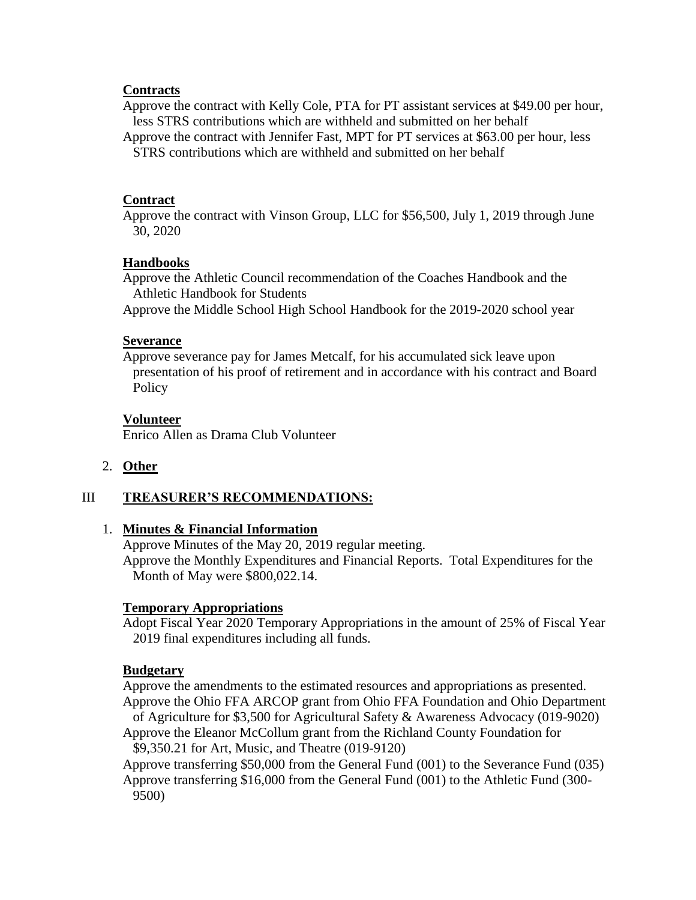### **Contracts**

Approve the contract with Kelly Cole, PTA for PT assistant services at \$49.00 per hour, less STRS contributions which are withheld and submitted on her behalf

Approve the contract with Jennifer Fast, MPT for PT services at \$63.00 per hour, less STRS contributions which are withheld and submitted on her behalf

#### **Contract**

Approve the contract with Vinson Group, LLC for \$56,500, July 1, 2019 through June 30, 2020

#### **Handbooks**

Approve the Athletic Council recommendation of the Coaches Handbook and the Athletic Handbook for Students Approve the Middle School High School Handbook for the 2019-2020 school year

#### **Severance**

Approve severance pay for James Metcalf, for his accumulated sick leave upon presentation of his proof of retirement and in accordance with his contract and Board Policy

#### **Volunteer**

Enrico Allen as Drama Club Volunteer

#### 2. **Other**

### III **TREASURER'S RECOMMENDATIONS:**

### 1. **Minutes & Financial Information**

Approve Minutes of the May 20, 2019 regular meeting.

Approve the Monthly Expenditures and Financial Reports. Total Expenditures for the Month of May were \$800,022.14.

#### **Temporary Appropriations**

Adopt Fiscal Year 2020 Temporary Appropriations in the amount of 25% of Fiscal Year 2019 final expenditures including all funds.

#### **Budgetary**

Approve the amendments to the estimated resources and appropriations as presented. Approve the Ohio FFA ARCOP grant from Ohio FFA Foundation and Ohio Department of Agriculture for \$3,500 for Agricultural Safety & Awareness Advocacy (019-9020)

Approve the Eleanor McCollum grant from the Richland County Foundation for \$9,350.21 for Art, Music, and Theatre (019-9120)

Approve transferring \$50,000 from the General Fund (001) to the Severance Fund (035) Approve transferring \$16,000 from the General Fund (001) to the Athletic Fund (300- 9500)